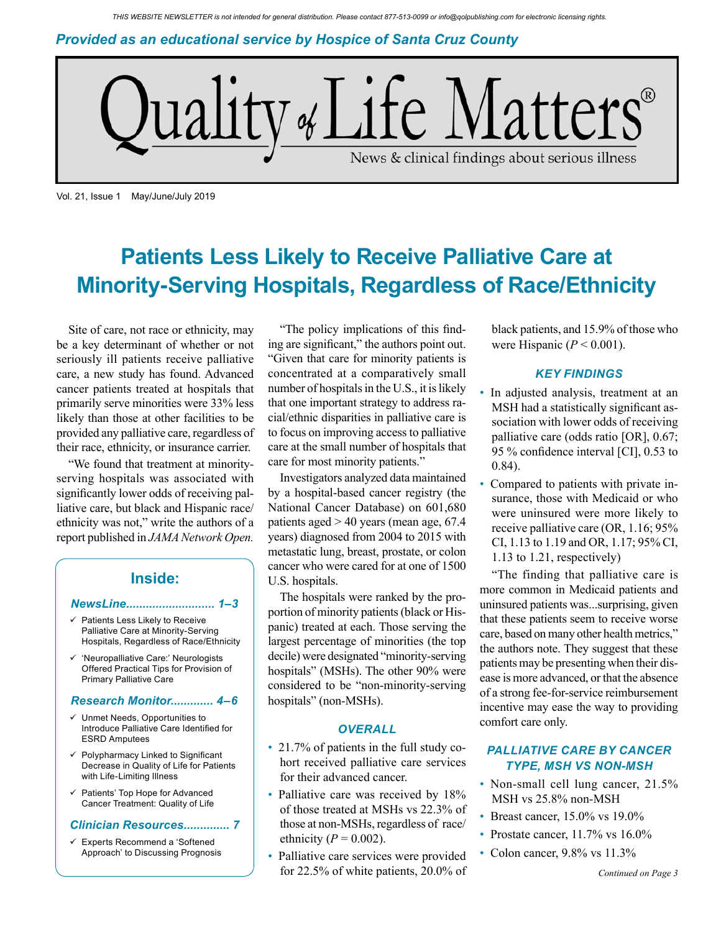*Provided as an educational service by Hospice of Santa Cruz County*



Vol. 21, Issue 1 May/June/July 2019

# **Patients Less Likely to Receive Palliative Care at Minority-Serving Hospitals, Regardless of Race/Ethnicity**

Site of care, not race or ethnicity, may be a key determinant of whether or not seriously ill patients receive palliative care, a new study has found. Advanced cancer patients treated at hospitals that primarily serve minorities were 33% less likely than those at other facilities to be provided any palliative care, regardless of their race, ethnicity, or insurance carrier.

"We found that treatment at minorityserving hospitals was associated with significantly lower odds of receiving palliative care, but black and Hispanic race/ ethnicity was not," write the authors of a report published in *JAMA Network Open.* 

### **Inside:**

#### *NewsLine........................... 1–3*

- $\checkmark$  Patients Less Likely to Receive Palliative Care at Minority-Serving Hospitals, Regardless of Race/Ethnicity
- 'Neuropalliative Care:' Neurologists Offered Practical Tips for Provision of Primary Palliative Care

#### *Research Monitor............. 4–6*

- $\checkmark$  Unmet Needs, Opportunities to Introduce Palliative Care Identified for ESRD Amputees
- Polypharmacy Linked to Significant Decrease in Quality of Life for Patients with Life-Limiting Illness
- $\checkmark$  Patients' Top Hope for Advanced Cancer Treatment: Quality of Life

#### *Clinician Resources.............. 7*

 Experts Recommend a 'Softened Approach' to Discussing Prognosis

"The policy implications of this finding are significant," the authors point out. "Given that care for minority patients is concentrated at a comparatively small number of hospitals in the U.S., it is likely that one important strategy to address racial/ethnic disparities in palliative care is to focus on improving access to palliative care at the small number of hospitals that care for most minority patients."

Investigators analyzed data maintained by a hospital-based cancer registry (the National Cancer Database) on 601,680 patients aged > 40 years (mean age, 67.4 years) diagnosed from 2004 to 2015 with metastatic lung, breast, prostate, or colon cancer who were cared for at one of 1500 U.S. hospitals.

The hospitals were ranked by the proportion of minority patients (black or Hispanic) treated at each. Those serving the largest percentage of minorities (the top decile) were designated "minority-serving hospitals" (MSHs). The other 90% were considered to be "non-minority-serving hospitals" (non-MSHs).

#### *OVERALL*

- 21.7% of patients in the full study cohort received palliative care services for their advanced cancer.
- Palliative care was received by 18% of those treated at MSHs vs 22.3% of those at non-MSHs, regardless of race/ ethnicity  $(P = 0.002)$ .
- Palliative care services were provided for 22.5% of white patients, 20.0% of

black patients, and 15.9% of those who were Hispanic  $(P < 0.001)$ .

### *KEY FINDINGS*

- In adjusted analysis, treatment at an MSH had a statistically significant association with lower odds of receiving palliative care (odds ratio [OR], 0.67; 95 % confidence interval [CI], 0.53 to 0.84).
- Compared to patients with private insurance, those with Medicaid or who were uninsured were more likely to receive palliative care (OR, 1.16; 95% CI, 1.13 to 1.19 and OR, 1.17; 95% CI, 1.13 to 1.21, respectively)

"The finding that palliative care is more common in Medicaid patients and uninsured patients was...surprising, given that these patients seem to receive worse care, based on many other health metrics," the authors note. They suggest that these patients may be presenting when their disease is more advanced, or that the absence of a strong fee-for-service reimbursement incentive may ease the way to providing comfort care only.

### *PALLIATIVE CARE BY CANCER TYPE, MSH VS NON-MSH*

- Non-small cell lung cancer, 21.5% MSH vs 25.8% non-MSH
- Breast cancer, 15.0% vs 19.0%
- Prostate cancer, 11.7% vs 16.0%
- Colon cancer, 9.8% vs 11.3%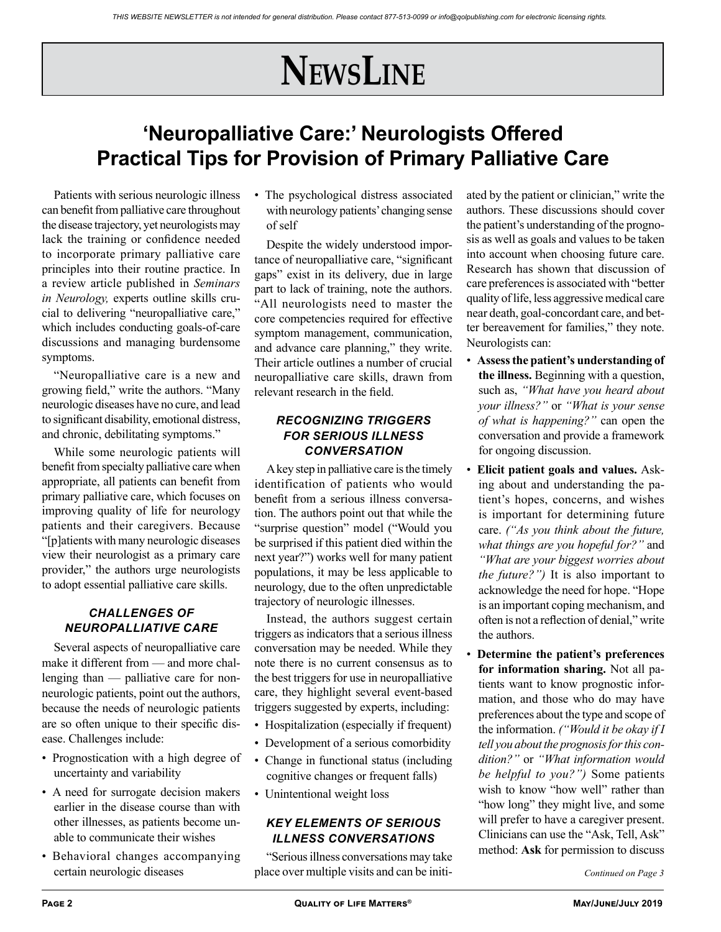# **NewsLine**

# **'Neuropalliative Care:' Neurologists Offered Practical Tips for Provision of Primary Palliative Care**

Patients with serious neurologic illness can benefit from palliative care throughout the disease trajectory, yet neurologists may lack the training or confidence needed to incorporate primary palliative care principles into their routine practice. In a review article published in *Seminars in Neurology,* experts outline skills crucial to delivering "neuropalliative care," which includes conducting goals-of-care discussions and managing burdensome symptoms.

"Neuropalliative care is a new and growing field," write the authors. "Many neurologic diseases have no cure, and lead to significant disability, emotional distress, and chronic, debilitating symptoms."

While some neurologic patients will benefit from specialty palliative care when appropriate, all patients can benefit from primary palliative care, which focuses on improving quality of life for neurology patients and their caregivers. Because "[p]atients with many neurologic diseases view their neurologist as a primary care provider," the authors urge neurologists to adopt essential palliative care skills.

## *CHALLENGES OF NEUROPALLIATIVE CARE*

Several aspects of neuropalliative care make it different from — and more challenging than — palliative care for nonneurologic patients, point out the authors, because the needs of neurologic patients are so often unique to their specific disease. Challenges include:

- Prognostication with a high degree of uncertainty and variability
- A need for surrogate decision makers earlier in the disease course than with other illnesses, as patients become unable to communicate their wishes
- Behavioral changes accompanying

• The psychological distress associated with neurology patients' changing sense of self

Despite the widely understood importance of neuropalliative care, "significant gaps" exist in its delivery, due in large part to lack of training, note the authors. "All neurologists need to master the core competencies required for effective symptom management, communication, and advance care planning," they write. Their article outlines a number of crucial neuropalliative care skills, drawn from relevant research in the field.

## *RECOGNIZING TRIGGERS FOR SERIOUS ILLNESS CONVERSATION*

A key step in palliative care is the timely identification of patients who would benefit from a serious illness conversation. The authors point out that while the "surprise question" model ("Would you be surprised if this patient died within the next year?") works well for many patient populations, it may be less applicable to neurology, due to the often unpredictable trajectory of neurologic illnesses.

Instead, the authors suggest certain triggers as indicators that a serious illness conversation may be needed. While they note there is no current consensus as to the best triggers for use in neuropalliative care, they highlight several event-based triggers suggested by experts, including:

- Hospitalization (especially if frequent)
- Development of a serious comorbidity
- Change in functional status (including cognitive changes or frequent falls)
- Unintentional weight loss

### *KEY ELEMENTS OF SERIOUS ILLNESS CONVERSATIONS*

certain neurologic diseases *Continued on Page 3* place over multiple visits and can be initi-"Serious illness conversations may take

ated by the patient or clinician," write the authors. These discussions should cover the patient's understanding of the prognosis as well as goals and values to be taken into account when choosing future care. Research has shown that discussion of care preferences is associated with "better quality of life, less aggressive medical care near death, goal-concordant care, and better bereavement for families," they note. Neurologists can:

- **Assess the patient's understanding of the illness.** Beginning with a question, such as, *"What have you heard about your illness?"* or *"What is your sense of what is happening?"* can open the conversation and provide a framework for ongoing discussion.
- **Elicit patient goals and values.** Asking about and understanding the patient's hopes, concerns, and wishes is important for determining future care. *("As you think about the future, what things are you hopeful for?"* and *"What are your biggest worries about the future?")* It is also important to acknowledge the need for hope. "Hope is an important coping mechanism, and often is not a reflection of denial," write the authors.
- **Determine the patient's preferences for information sharing.** Not all patients want to know prognostic information, and those who do may have preferences about the type and scope of the information. *("Would it be okay if I tell you about the prognosis for this condition?"* or *"What information would be helpful to you?")* Some patients wish to know "how well" rather than "how long" they might live, and some will prefer to have a caregiver present. Clinicians can use the "Ask, Tell, Ask" method: **Ask** for permission to discuss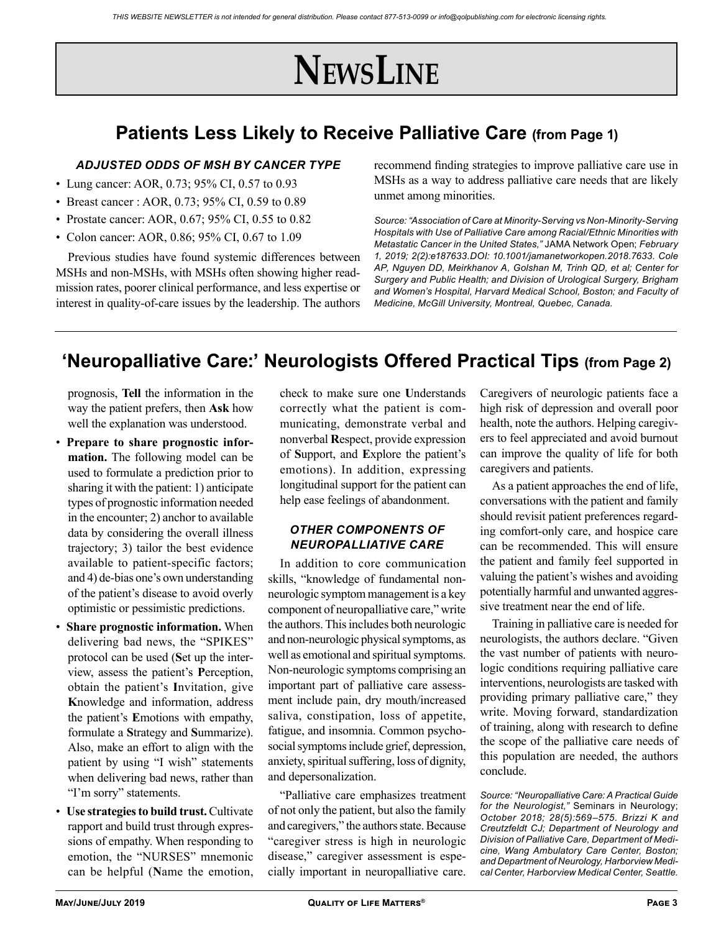# **NewsLine**

## **Patients Less Likely to Receive Palliative Care (from Page 1)**

### *ADJUSTED ODDS OF MSH BY CANCER TYPE*

- Lung cancer: AOR, 0.73; 95% CI, 0.57 to 0.93
- Breast cancer : AOR, 0.73; 95% CI, 0.59 to 0.89
- Prostate cancer: AOR, 0.67; 95% CI, 0.55 to 0.82
- Colon cancer: AOR, 0.86; 95% CI, 0.67 to 1.09

Previous studies have found systemic differences between MSHs and non-MSHs, with MSHs often showing higher readmission rates, poorer clinical performance, and less expertise or interest in quality-of-care issues by the leadership. The authors recommend finding strategies to improve palliative care use in MSHs as a way to address palliative care needs that are likely unmet among minorities.

*Source: "Association of Care at Minority-Serving vs Non-Minority-Serving Hospitals with Use of Palliative Care among Racial/Ethnic Minorities with Metastatic Cancer in the United States,"* JAMA Network Open; *February 1, 2019; 2(2):e187633.DOI: 10.1001/jamanetworkopen.2018.7633. Cole AP, Nguyen DD, Meirkhanov A, Golshan M, Trinh QD, et al; Center for Surgery and Public Health; and Division of Urological Surgery, Brigham and Women's Hospital, Harvard Medical School, Boston; and Faculty of Medicine, McGill University, Montreal, Quebec, Canada.*

## **'Neuropalliative Care:' Neurologists Offered Practical Tips (from Page 2)**

prognosis, **Tell** the information in the way the patient prefers, then **Ask** how well the explanation was understood.

- **Prepare to share prognostic information.** The following model can be used to formulate a prediction prior to sharing it with the patient: 1) anticipate types of prognostic information needed in the encounter; 2) anchor to available data by considering the overall illness trajectory; 3) tailor the best evidence available to patient-specific factors; and 4) de-bias one's own understanding of the patient's disease to avoid overly optimistic or pessimistic predictions.
- **Share prognostic information.** When delivering bad news, the "SPIKES" protocol can be used (**S**et up the interview, assess the patient's **P**erception, obtain the patient's **I**nvitation, give **K**nowledge and information, address the patient's **E**motions with empathy, formulate a **S**trategy and **S**ummarize). Also, make an effort to align with the patient by using "I wish" statements when delivering bad news, rather than "I'm sorry" statements.
- **Use strategies to build trust.** Cultivate rapport and build trust through expressions of empathy. When responding to emotion, the "NURSES" mnemonic can be helpful (**N**ame the emotion,

check to make sure one **U**nderstands correctly what the patient is communicating, demonstrate verbal and nonverbal **R**espect, provide expression of **S**upport, and **E**xplore the patient's emotions). In addition, expressing longitudinal support for the patient can help ease feelings of abandonment.

### *OTHER COMPONENTS OF NEUROPALLIATIVE CARE*

In addition to core communication skills, "knowledge of fundamental nonneurologic symptom management is a key component of neuropalliative care," write the authors. This includes both neurologic and non-neurologic physical symptoms, as well as emotional and spiritual symptoms. Non-neurologic symptoms comprising an important part of palliative care assessment include pain, dry mouth/increased saliva, constipation, loss of appetite, fatigue, and insomnia. Common psychosocial symptoms include grief, depression, anxiety, spiritual suffering, loss of dignity, and depersonalization.

"Palliative care emphasizes treatment of not only the patient, but also the family and caregivers," the authors state. Because "caregiver stress is high in neurologic disease," caregiver assessment is especially important in neuropalliative care.

Caregivers of neurologic patients face a high risk of depression and overall poor health, note the authors. Helping caregivers to feel appreciated and avoid burnout can improve the quality of life for both caregivers and patients.

As a patient approaches the end of life, conversations with the patient and family should revisit patient preferences regarding comfort-only care, and hospice care can be recommended. This will ensure the patient and family feel supported in valuing the patient's wishes and avoiding potentially harmful and unwanted aggressive treatment near the end of life.

Training in palliative care is needed for neurologists, the authors declare. "Given the vast number of patients with neurologic conditions requiring palliative care interventions, neurologists are tasked with providing primary palliative care," they write. Moving forward, standardization of training, along with research to define the scope of the palliative care needs of this population are needed, the authors conclude.

*Source: "Neuropalliative Care: A Practical Guide for the Neurologist,"* Seminars in Neurology; *October 2018; 28(5):569–575. Brizzi K and Creutzfeldt CJ; Department of Neurology and Division of Palliative Care, Department of Medicine, Wang Ambulatory Care Center, Boston; and Department of Neurology, Harborview Medical Center, Harborview Medical Center, Seattle.*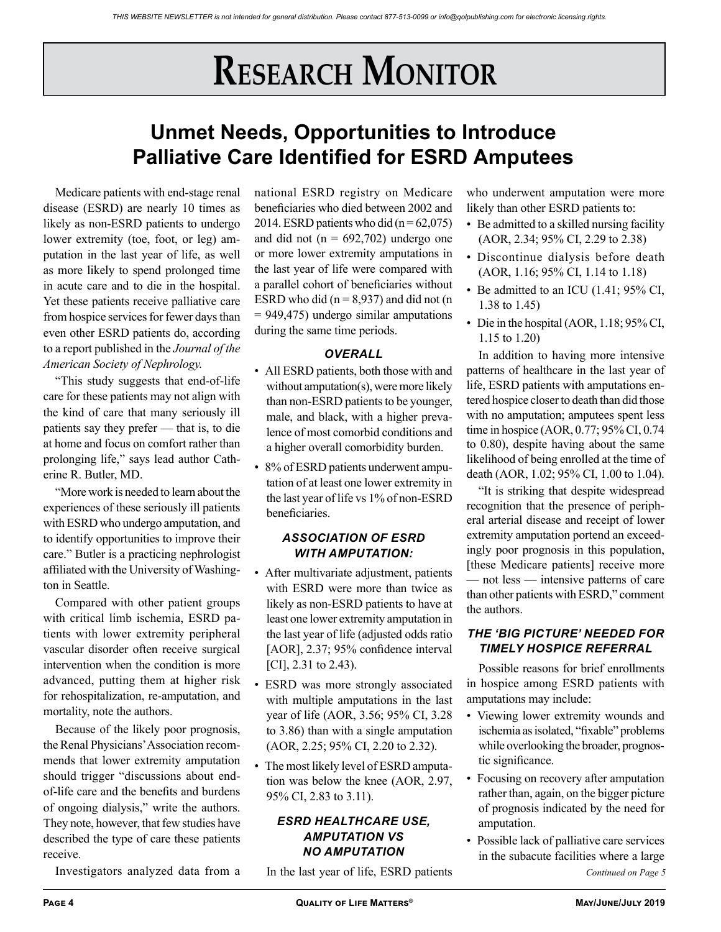# **RESEARCH MONITOR**

# **Unmet Needs, Opportunities to Introduce Palliative Care Identified for ESRD Amputees**

Medicare patients with end-stage renal disease (ESRD) are nearly 10 times as likely as non-ESRD patients to undergo lower extremity (toe, foot, or leg) amputation in the last year of life, as well as more likely to spend prolonged time in acute care and to die in the hospital. Yet these patients receive palliative care from hospice services for fewer days than even other ESRD patients do, according to a report published in the *Journal of the American Society of Nephrology.*

"This study suggests that end-of-life care for these patients may not align with the kind of care that many seriously ill patients say they prefer — that is, to die at home and focus on comfort rather than prolonging life," says lead author Catherine R. Butler, MD.

"More work is needed to learn about the experiences of these seriously ill patients with ESRD who undergo amputation, and to identify opportunities to improve their care." Butler is a practicing nephrologist affiliated with the University of Washington in Seattle.

Compared with other patient groups with critical limb ischemia, ESRD patients with lower extremity peripheral vascular disorder often receive surgical intervention when the condition is more advanced, putting them at higher risk for rehospitalization, re-amputation, and mortality, note the authors.

Because of the likely poor prognosis, the Renal Physicians' Association recommends that lower extremity amputation should trigger "discussions about endof-life care and the benefits and burdens of ongoing dialysis," write the authors. They note, however, that few studies have described the type of care these patients receive.

Investigators analyzed data from a

national ESRD registry on Medicare beneficiaries who died between 2002 and 2014. ESRD patients who did  $(n = 62,075)$ and did not ( $n = 692,702$ ) undergo one or more lower extremity amputations in the last year of life were compared with a parallel cohort of beneficiaries without ESRD who did  $(n = 8.937)$  and did not  $(n = 1.937)$ = 949,475) undergo similar amputations during the same time periods.

### *OVERALL*

- All ESRD patients, both those with and without amputation(s), were more likely than non-ESRD patients to be younger, male, and black, with a higher prevalence of most comorbid conditions and a higher overall comorbidity burden.
- 8% of ESRD patients underwent amputation of at least one lower extremity in the last year of life vs 1% of non-ESRD beneficiaries.

### *ASSOCIATION OF ESRD WITH AMPUTATION:*

- After multivariate adjustment, patients with ESRD were more than twice as likely as non-ESRD patients to have at least one lower extremity amputation in the last year of life (adjusted odds ratio [AOR], 2.37; 95% confidence interval [CI], 2.31 to 2.43).
- ESRD was more strongly associated with multiple amputations in the last year of life (AOR, 3.56; 95% CI, 3.28 to 3.86) than with a single amputation (AOR, 2.25; 95% CI, 2.20 to 2.32).
- The most likely level of ESRD amputation was below the knee (AOR, 2.97, 95% CI, 2.83 to 3.11).

### *ESRD HEALTHCARE USE, AMPUTATION VS NO AMPUTATION*

In the last year of life, ESRD patients

who underwent amputation were more likely than other ESRD patients to:

- Be admitted to a skilled nursing facility (AOR, 2.34; 95% CI, 2.29 to 2.38)
- Discontinue dialysis before death (AOR, 1.16; 95% CI, 1.14 to 1.18)
- Be admitted to an ICU (1.41; 95% CI, 1.38 to 1.45)
- Die in the hospital (AOR, 1.18; 95% CI, 1.15 to 1.20)

In addition to having more intensive patterns of healthcare in the last year of life, ESRD patients with amputations entered hospice closer to death than did those with no amputation; amputees spent less time in hospice (AOR, 0.77; 95% CI, 0.74 to 0.80), despite having about the same likelihood of being enrolled at the time of death (AOR, 1.02; 95% CI, 1.00 to 1.04).

"It is striking that despite widespread recognition that the presence of peripheral arterial disease and receipt of lower extremity amputation portend an exceedingly poor prognosis in this population, [these Medicare patients] receive more — not less — intensive patterns of care than other patients with ESRD," comment the authors.

### *THE 'BIG PICTURE' NEEDED FOR TIMELY HOSPICE REFERRAL*

Possible reasons for brief enrollments in hospice among ESRD patients with amputations may include:

- Viewing lower extremity wounds and ischemia as isolated, "fixable" problems while overlooking the broader, prognostic significance.
- Focusing on recovery after amputation rather than, again, on the bigger picture of prognosis indicated by the need for amputation.
- *Continued on Page 5* • Possible lack of palliative care services in the subacute facilities where a large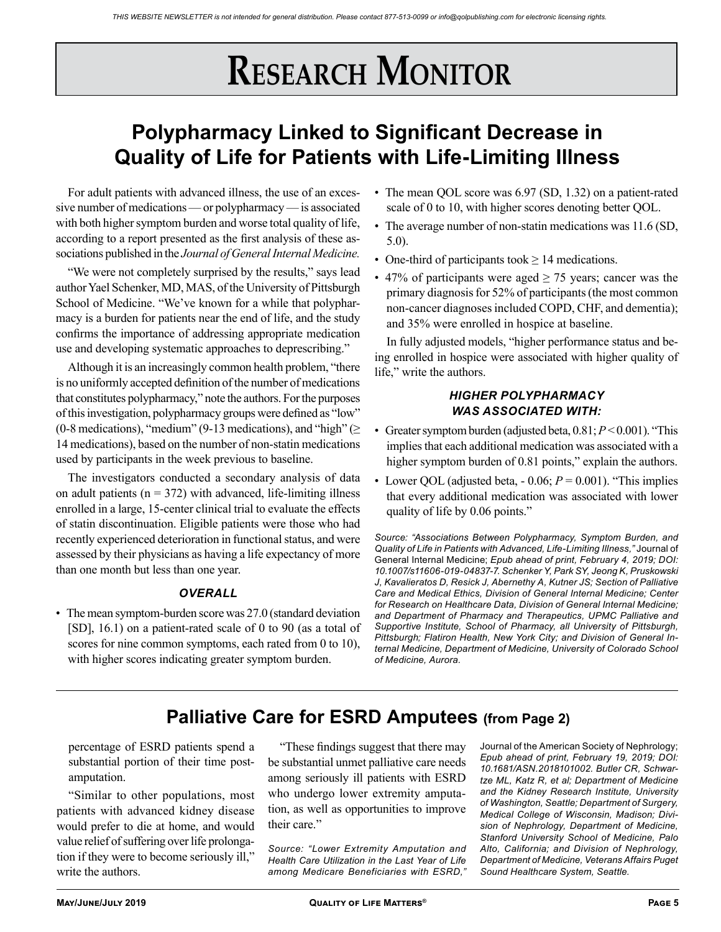# **RESEARCH MONITOR**

# **Polypharmacy Linked to Significant Decrease in Quality of Life for Patients with Life-Limiting Illness**

For adult patients with advanced illness, the use of an excessive number of medications — or polypharmacy — is associated with both higher symptom burden and worse total quality of life. according to a report presented as the first analysis of these associations published in the *Journal of General Internal Medicine.* 

"We were not completely surprised by the results," says lead author Yael Schenker, MD, MAS, of the University of Pittsburgh School of Medicine. "We've known for a while that polypharmacy is a burden for patients near the end of life, and the study confirms the importance of addressing appropriate medication use and developing systematic approaches to deprescribing."

Although it is an increasingly common health problem, "there is no uniformly accepted definition of the number of medications that constitutes polypharmacy," note the authors. For the purposes of this investigation, polypharmacy groups were defined as "low" (0-8 medications), "medium" (9-13 medications), and "high" ( $\geq$ 14 medications), based on the number of non-statin medications used by participants in the week previous to baseline.

The investigators conducted a secondary analysis of data on adult patients ( $n = 372$ ) with advanced, life-limiting illness enrolled in a large, 15-center clinical trial to evaluate the effects of statin discontinuation. Eligible patients were those who had recently experienced deterioration in functional status, and were assessed by their physicians as having a life expectancy of more than one month but less than one year.

### *OVERALL*

• The mean symptom-burden score was 27.0 (standard deviation [SD], 16.1) on a patient-rated scale of 0 to 90 (as a total of scores for nine common symptoms, each rated from 0 to 10), with higher scores indicating greater symptom burden.

- The mean QOL score was 6.97 (SD, 1.32) on a patient-rated scale of 0 to 10, with higher scores denoting better QOL.
- The average number of non-statin medications was 11.6 (SD, 5.0).
- One-third of participants took  $\geq 14$  medications.
- 47% of participants were aged  $\geq$  75 years; cancer was the primary diagnosis for 52% of participants (the most common non-cancer diagnoses included COPD, CHF, and dementia); and 35% were enrolled in hospice at baseline.

In fully adjusted models, "higher performance status and being enrolled in hospice were associated with higher quality of life," write the authors.

### *HIGHER POLYPHARMACY WAS ASSOCIATED WITH:*

- Greater symptom burden (adjusted beta, 0.81; *P* < 0.001). "This implies that each additional medication was associated with a higher symptom burden of 0.81 points," explain the authors.
- Lower OOL (adjusted beta,  $-0.06$ ;  $P = 0.001$ ). "This implies that every additional medication was associated with lower quality of life by 0.06 points."

*Source: "Associations Between Polypharmacy, Symptom Burden, and Quality of Life in Patients with Advanced, Life-Limiting Illness,"* Journal of General Internal Medicine; *Epub ahead of print, February 4, 2019; DOI: 10.1007/s11606-019-04837-7. Schenker Y, Park SY, Jeong K, Pruskowski J, Kavalieratos D, Resick J, Abernethy A, Kutner JS; Section of Palliative Care and Medical Ethics, Division of General Internal Medicine; Center for Research on Healthcare Data, Division of General Internal Medicine; and Department of Pharmacy and Therapeutics, UPMC Palliative and Supportive Institute, School of Pharmacy, all University of Pittsburgh, Pittsburgh; Flatiron Health, New York City; and Division of General Internal Medicine, Department of Medicine, University of Colorado School of Medicine, Aurora.*

## **Palliative Care for ESRD Amputees (from Page 2)**

percentage of ESRD patients spend a substantial portion of their time postamputation.

"Similar to other populations, most patients with advanced kidney disease would prefer to die at home, and would value relief of suffering over life prolongation if they were to become seriously ill," write the authors.

"These findings suggest that there may be substantial unmet palliative care needs among seriously ill patients with ESRD who undergo lower extremity amputation, as well as opportunities to improve their care."

*Source: "Lower Extremity Amputation and Health Care Utilization in the Last Year of Life among Medicare Beneficiaries with ESRD,"*  Journal of the American Society of Nephrology; *Epub ahead of print, February 19, 2019; DOI: 10.1681/ASN.2018101002. Butler CR, Schwartze ML, Katz R, et al; Department of Medicine and the Kidney Research Institute, University of Washington, Seattle; Department of Surgery, Medical College of Wisconsin, Madison; Division of Nephrology, Department of Medicine, Stanford University School of Medicine, Palo Alto, California; and Division of Nephrology, Department of Medicine, Veterans Affairs Puget Sound Healthcare System, Seattle.*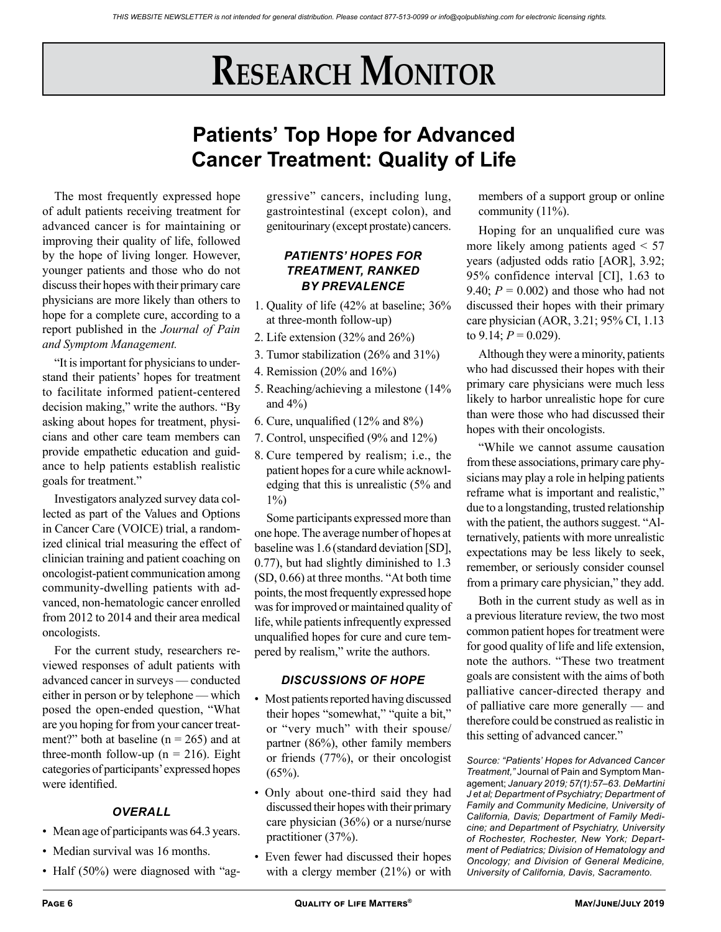# **Research Monitor**

## **Patients' Top Hope for Advanced Cancer Treatment: Quality of Life**

The most frequently expressed hope of adult patients receiving treatment for advanced cancer is for maintaining or improving their quality of life, followed by the hope of living longer. However, younger patients and those who do not discuss their hopes with their primary care physicians are more likely than others to hope for a complete cure, according to a report published in the *Journal of Pain and Symptom Management.*

"It is important for physicians to understand their patients' hopes for treatment to facilitate informed patient-centered decision making," write the authors. "By asking about hopes for treatment, physicians and other care team members can provide empathetic education and guidance to help patients establish realistic goals for treatment."

Investigators analyzed survey data collected as part of the Values and Options in Cancer Care (VOICE) trial, a randomized clinical trial measuring the effect of clinician training and patient coaching on oncologist-patient communication among community-dwelling patients with advanced, non-hematologic cancer enrolled from 2012 to 2014 and their area medical oncologists.

For the current study, researchers reviewed responses of adult patients with advanced cancer in surveys — conducted either in person or by telephone — which posed the open-ended question, "What are you hoping for from your cancer treatment?" both at baseline ( $n = 265$ ) and at three-month follow-up ( $n = 216$ ). Eight categories of participants' expressed hopes were identified.

## *OVERALL*

- Mean age of participants was 64.3 years.
- Median survival was 16 months.
- Half (50%) were diagnosed with "ag-

gressive" cancers, including lung, gastrointestinal (except colon), and genitourinary (except prostate) cancers.

## *PATIENTS' HOPES FOR TREATMENT, RANKED BY PREVALENCE*

- 1. Quality of life (42% at baseline; 36% at three-month follow-up)
- 2. Life extension (32% and 26%)
- 3. Tumor stabilization (26% and 31%)
- 4. Remission (20% and 16%)
- 5. Reaching/achieving a milestone (14% and  $4\%$ )
- 6. Cure, unqualified (12% and 8%)
- 7. Control, unspecified (9% and 12%)
- 8. Cure tempered by realism; i.e., the patient hopes for a cure while acknowledging that this is unrealistic (5% and  $1\%$

Some participants expressed more than one hope. The average number of hopes at baseline was 1.6 (standard deviation [SD], 0.77), but had slightly diminished to 1.3 (SD, 0.66) at three months. "At both time points, the most frequently expressed hope was for improved or maintained quality of life, while patients infrequently expressed unqualified hopes for cure and cure tempered by realism," write the authors.

### *DISCUSSIONS OF HOPE*

- Most patients reported having discussed their hopes "somewhat," "quite a bit," or "very much" with their spouse/ partner (86%), other family members or friends (77%), or their oncologist  $(65\%)$ .
- Only about one-third said they had discussed their hopes with their primary care physician (36%) or a nurse/nurse practitioner (37%).
- Even fewer had discussed their hopes with a clergy member (21%) or with

members of a support group or online community (11%).

Hoping for an unqualified cure was more likely among patients aged < 57 years (adjusted odds ratio [AOR], 3.92; 95% confidence interval [CI], 1.63 to 9.40;  $P = 0.002$ ) and those who had not discussed their hopes with their primary care physician (AOR, 3.21; 95% CI, 1.13 to  $9.14$ ;  $P = 0.029$ ).

Although they were a minority, patients who had discussed their hopes with their primary care physicians were much less likely to harbor unrealistic hope for cure than were those who had discussed their hopes with their oncologists.

"While we cannot assume causation from these associations, primary care physicians may play a role in helping patients reframe what is important and realistic," due to a longstanding, trusted relationship with the patient, the authors suggest. "Alternatively, patients with more unrealistic expectations may be less likely to seek, remember, or seriously consider counsel from a primary care physician," they add.

Both in the current study as well as in a previous literature review, the two most common patient hopes for treatment were for good quality of life and life extension, note the authors. "These two treatment goals are consistent with the aims of both palliative cancer-directed therapy and of palliative care more generally — and therefore could be construed as realistic in this setting of advanced cancer."

*Source: "Patients' Hopes for Advanced Cancer Treatment,"* Journal of Pain and Symptom Management; *January 2019; 57(1):57–63. DeMartini J et al; Department of Psychiatry; Department of Family and Community Medicine, University of California, Davis; Department of Family Medicine; and Department of Psychiatry, University of Rochester, Rochester, New York; Department of Pediatrics; Division of Hematology and Oncology; and Division of General Medicine, University of California, Davis, Sacramento.*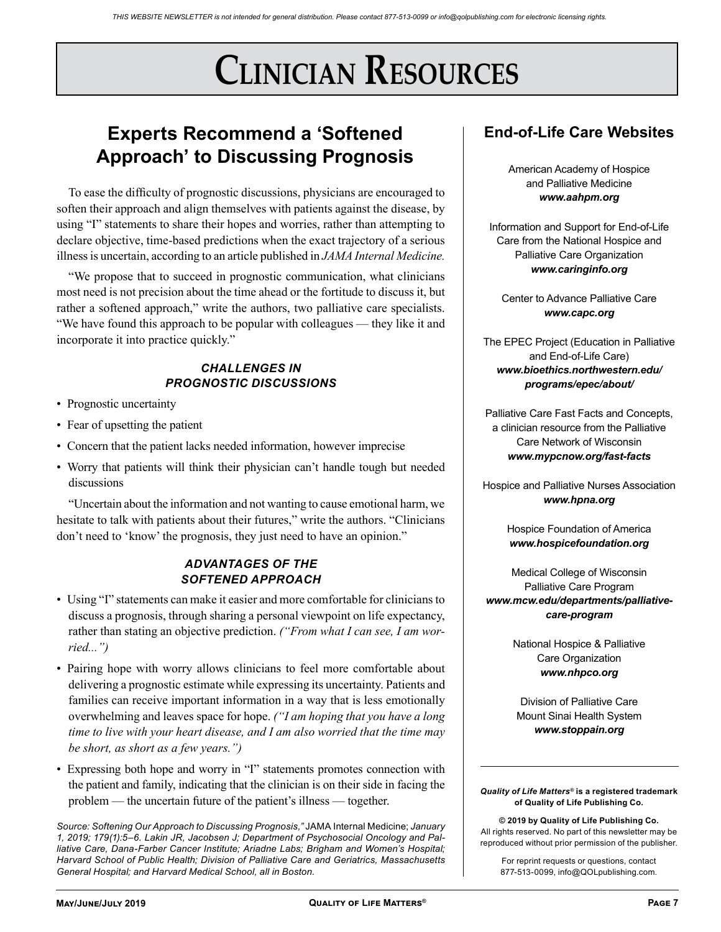# **Clinician Resources**

## **Experts Recommend a 'Softened Approach' to Discussing Prognosis**

To ease the difficulty of prognostic discussions, physicians are encouraged to soften their approach and align themselves with patients against the disease, by using "I" statements to share their hopes and worries, rather than attempting to declare objective, time-based predictions when the exact trajectory of a serious illness is uncertain, according to an article published in *JAMA Internal Medicine.*

"We propose that to succeed in prognostic communication, what clinicians most need is not precision about the time ahead or the fortitude to discuss it, but rather a softened approach," write the authors, two palliative care specialists. "We have found this approach to be popular with colleagues — they like it and incorporate it into practice quickly."

### *CHALLENGES IN PROGNOSTIC DISCUSSIONS*

- Prognostic uncertainty
- Fear of upsetting the patient
- Concern that the patient lacks needed information, however imprecise
- Worry that patients will think their physician can't handle tough but needed discussions

"Uncertain about the information and not wanting to cause emotional harm, we hesitate to talk with patients about their futures," write the authors. "Clinicians don't need to 'know' the prognosis, they just need to have an opinion."

### *ADVANTAGES OF THE SOFTENED APPROACH*

- Using "I" statements can make it easier and more comfortable for clinicians to discuss a prognosis, through sharing a personal viewpoint on life expectancy, rather than stating an objective prediction. *("From what I can see, I am worried...")*
- Pairing hope with worry allows clinicians to feel more comfortable about delivering a prognostic estimate while expressing its uncertainty. Patients and families can receive important information in a way that is less emotionally overwhelming and leaves space for hope. *("I am hoping that you have a long time to live with your heart disease, and I am also worried that the time may be short, as short as a few years.")*
- Expressing both hope and worry in "I" statements promotes connection with the patient and family, indicating that the clinician is on their side in facing the problem — the uncertain future of the patient's illness — together.

*Source: Softening Our Approach to Discussing Prognosis,"* JAMA Internal Medicine; *January 1, 2019; 179(1):5–6. Lakin JR, Jacobsen J; Department of Psychosocial Oncology and Palliative Care, Dana-Farber Cancer Institute; Ariadne Labs; Brigham and Women's Hospital; Harvard School of Public Health; Division of Palliative Care and Geriatrics, Massachusetts General Hospital; and Harvard Medical School, all in Boston.*

## **End-of-Life Care Websites**

American Academy of Hospice and Palliative Medicine *www.aahpm.org*

Information and Support for End-of-Life Care from the National Hospice and Palliative Care Organization *www.caringinfo.org*

Center to Advance Palliative Care *www.capc.org*

The EPEC Project (Education in Palliative and End-of-Life Care) *www.bioethics.northwestern.edu/ programs/epec/about/*

Palliative Care Fast Facts and Concepts, a clinician resource from the Palliative Care Network of Wisconsin *www.mypcnow.org/fast-facts*

Hospice and Palliative Nurses Association *www.hpna.org*

> Hospice Foundation of America *www.hospicefoundation.org*

Medical College of Wisconsin Palliative Care Program *www.mcw.edu/departments/palliativecare-program*

> National Hospice & Palliative Care Organization *www.nhpco.org*

Division of Palliative Care Mount Sinai Health System *www.stoppain.org*

#### *Quality of Life Matters®* **is a registered trademark of Quality of Life Publishing Co.**

**© 2019 by Quality of Life Publishing Co.** All rights reserved. No part of this newsletter may be reproduced without prior permission of the publisher.

For reprint requests or questions, contact 877-513-0099, info@QOLpublishing.com.